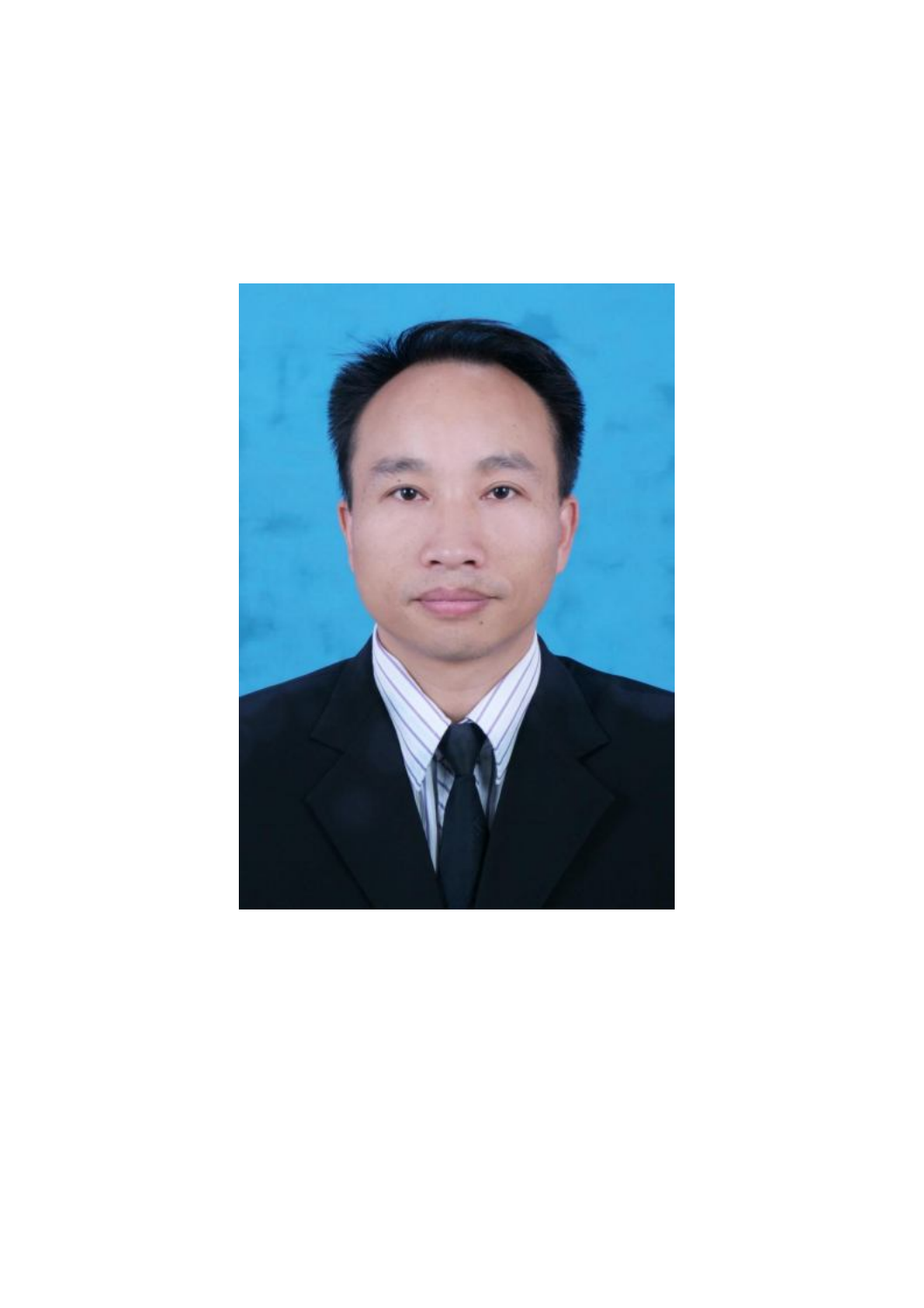